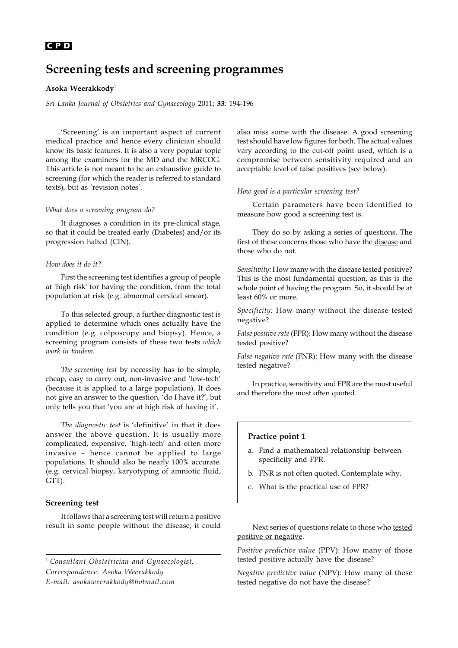## 194 **C P D**

# **Screening tests and screening programmes**

## **Asoka Weerakkody**<sup>1</sup>

*Sri Lanka Journal of Obstetrics and Gynaecology* 2011; **33**: 194-196

'Screening' is an important aspect of current medical practice and hence every clinician should know its basic features. It is also a very popular topic among the examiners for the MD and the MRCOG. This article is not meant to be an exhaustive guide to screening (for which the reader is referred to standard texts), but as 'revision notes'.

#### *What does a screening program do?*

It diagnoses a condition in its pre-clinical stage, so that it could be treated early (Diabetes) and/or its progression halted (CIN).

#### *How does it do it?*

First the screening test identifies a group of people at 'high risk' for having the condition, from the total population at risk (e.g. abnormal cervical smear).

To this selected group, a further diagnostic test is applied to determine which ones actually have the condition (e.g. colposcopy and biopsy). Hence, a screening program consists of these two tests *which work in tandem.*

*The screening test* by necessity has to be simple, cheap, easy to carry out, non-invasive and 'low-tech' (because it is applied to a large population). It does not give an answer to the question, 'do I have it?', but only tells you that 'you are at high risk of having it'.

*The diagnostic test* is 'definitive' in that it does answer the above question. It is usually more complicated, expensive, 'high-tech' and often more invasive – hence cannot be applied to large populations. It should also be nearly 100% accurate. (e.g. cervical biopsy, karyotyping of amniotic fluid, GTT).

#### **Screening test**

It follows that a screening test will return a positive result in some people without the disease; it could

<sup>1</sup> *Consultant Obstetrician and Gynaecologist. Correspondence: Asoka Weerakkody E-mail: asokaweerakkody@hotmail.com*

also miss some with the disease. A good screening test should have low figures for both. The actual values vary according to the cut-off point used, which is a compromise between sensitivity required and an acceptable level of false positives (see below).

#### *How good is a particular screening test?*

Certain parameters have been identified to measure how good a screening test is.

They do so by asking a series of questions. The first of these concerns those who have the disease and those who do not.

*Sensitivity:* How many with the disease tested positive? This is the most fundamental question, as this is the whole point of having the program. So, it should be at least 60% or more.

*Specificity:* How many without the disease tested negative?

*False positive rate* (FPR): How many without the disease tested positive?

*False negative rate* (FNR): How many with the disease tested negative?

In practice, sensitivity and FPR are the most useful and therefore the most often quoted.

## **Practice point 1**

- a. Find a mathematical relationship between specificity and FPR.
- b. FNR is not often quoted. Contemplate why.
- c. What is the practical use of FPR?

Next series of questions relate to those who tested positive or negative.

*Positive predictive value* (PPV): How many of those tested positive actually have the disease?

*Negative predictive value* (NPV): How many of those tested negative do not have the disease?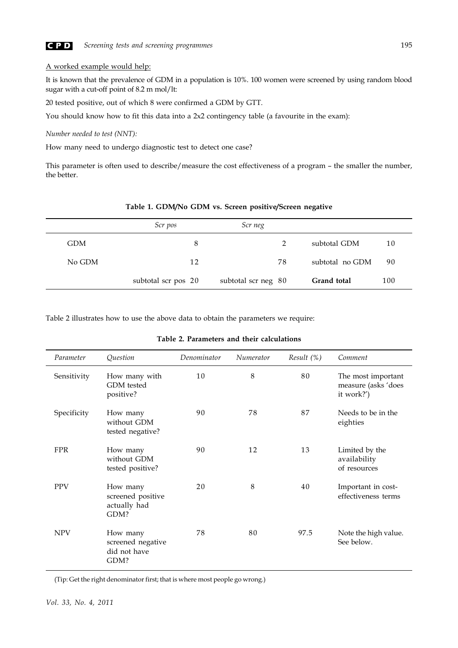

## A worked example would help:

It is known that the prevalence of GDM in a population is 10%. 100 women were screened by using random blood sugar with a cut-off point of 8.2 m mol/lt:

20 tested positive, out of which 8 were confirmed a GDM by GTT.

You should know how to fit this data into a 2x2 contingency table (a favourite in the exam):

*Number needed to test (NNT):*

How many need to undergo diagnostic test to detect one case?

This parameter is often used to describe/measure the cost effectiveness of a program – the smaller the number, the better.

|            | Scr pos             | Scr neg             |                 |     |  |
|------------|---------------------|---------------------|-----------------|-----|--|
| <b>GDM</b> | 8                   | 2                   | subtotal GDM    | 10  |  |
| No GDM     | 12                  | 78                  | subtotal no GDM | 90  |  |
|            | subtotal scr pos 20 | subtotal scr neg 80 | Grand total     | 100 |  |

**Table 1. GDM/No GDM vs. Screen positive/Screen negative**

Table 2 illustrates how to use the above data to obtain the parameters we require:

| Parameter   | Question                                              | Denominator | Numerator | Result(%) | Comment                                                 |
|-------------|-------------------------------------------------------|-------------|-----------|-----------|---------------------------------------------------------|
| Sensitivity | How many with<br>GDM tested<br>positive?              | 10          | 8         | 80        | The most important<br>measure (asks 'does<br>it work?') |
| Specificity | How many<br>without GDM<br>tested negative?           | 90          | 78        | 87        | Needs to be in the<br>eighties                          |
| <b>FPR</b>  | How many<br>without GDM<br>tested positive?           | 90          | 12        | 13        | Limited by the<br>availability<br>of resources          |
| <b>PPV</b>  | How many<br>screened positive<br>actually had<br>GDM? | 20          | 8         | 40        | Important in cost-<br>effectiveness terms               |
| <b>NPV</b>  | How many<br>screened negative<br>did not have<br>GDM? | 78          | 80        | 97.5      | Note the high value.<br>See below.                      |

#### **Table 2. Parameters and their calculations**

(Tip: Get the right denominator first; that is where most people go wrong.)